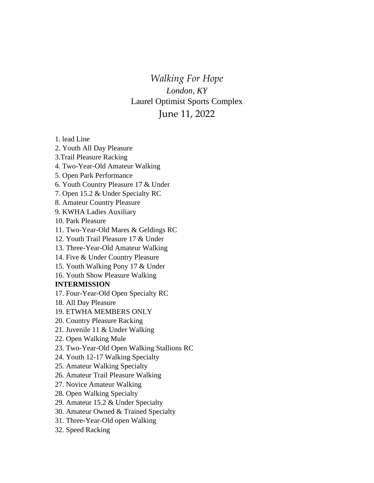*Walking For Hope London, KY* Laurel Optimist Sports Complex June 11, 2022

1. lead Line

2. Youth All Day Pleasure

- 3.Trail Pleasure Racking
- 4. Two-Year-Old Amateur Walking
- 5. Open Park Performance

6. Youth Country Pleasure 17 & Under

7. Open 15.2 & Under Specialty RC

- 8. Amateur Country Pleasure
- 9. KWHA Ladies Auxiliary
- 10. Park Pleasure
- 11. Two-Year-Old Mares & Geldings RC
- 12. Youth Trail Pleasure 17 & Under
- 13. Three-Year-Old Amateur Walking
- 14. Five & Under Country Pleasure
- 15. Youth Walking Pony 17 & Under
- 16. Youth Show Pleasure Walking

## **INTERMISSION**

- 17. Four-Year-Old Open Specialty RC
- 18. All Day Pleasure
- 19. ETWHA MEMBERS ONLY
- 20. Country Pleasure Racking
- 21. Juvenile 11 & Under Walking
- 22. Open Walking Mule
- 23. Two-Year-Old Open Walking Stallions RC
- 24. Youth 12-17 Walking Specialty
- 25. Amateur Walking Specialty
- 26. Amateur Trail Pleasure Walking
- 27. Novice Amateur Walking
- 28. Open Walking Specialty
- 29. Amateur 15.2 & Under Specialty
- 30. Amateur Owned & Trained Specialty
- 31. Three-Year-Old open Walking
- 32. Speed Racking